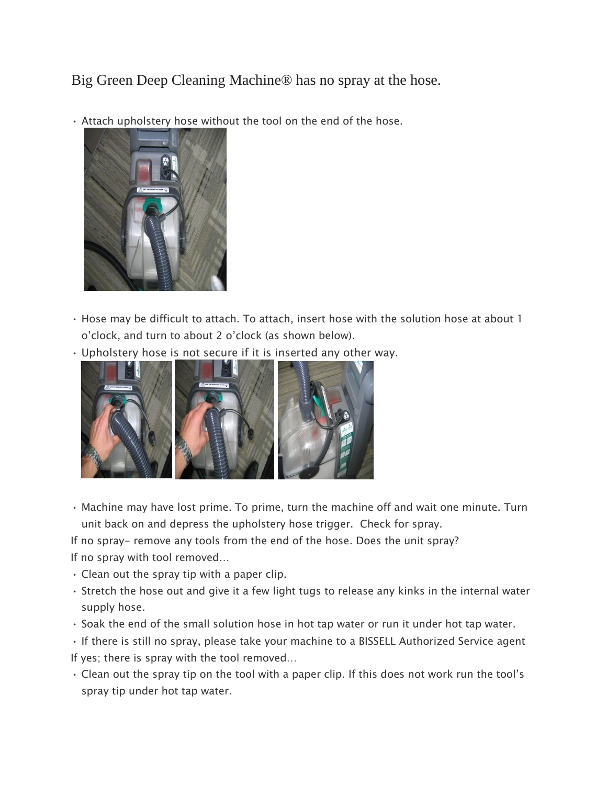Big Green Deep Cleaning Machine® has no spray at the hose.

• Attach upholstery hose without the tool on the end of the hose.



- Hose may be difficult to attach. To attach, insert hose with the solution hose at about 1 o'clock, and turn to about 2 o'clock (as shown below).
- Upholstery hose is not secure if it is inserted any other way.



• Machine may have lost prime. To prime, turn the machine off and wait one minute. Turn unit back on and depress the upholstery hose trigger. Check for spray.

If no spray- remove any tools from the end of the hose. Does the unit spray? If no spray with tool removed…

- Clean out the spray tip with a paper clip.
- Stretch the hose out and give it a few light tugs to release any kinks in the internal water supply hose.
- Soak the end of the small solution hose in hot tap water or run it under hot tap water.
- If there is still no spray, please take your machine to a BISSELL Authorized Service agent If yes; there is spray with the tool removed…
- Clean out the spray tip on the tool with a paper clip. If this does not work run the tool's spray tip under hot tap water.